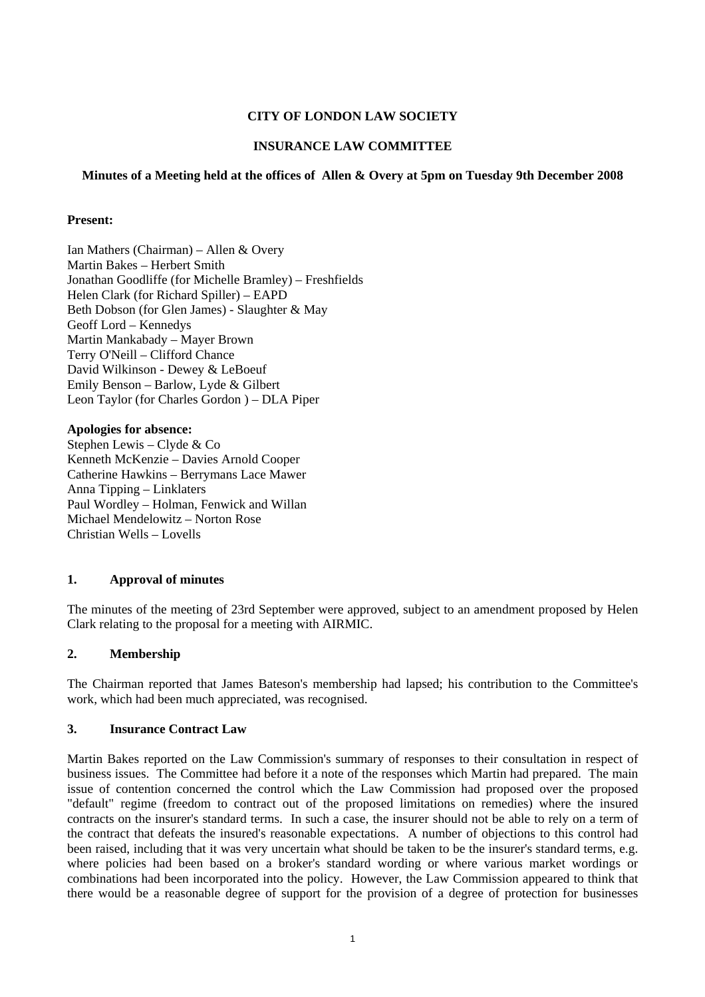## **CITY OF LONDON LAW SOCIETY**

# **INSURANCE LAW COMMITTEE**

## **Minutes of a Meeting held at the offices of Allen & Overy at 5pm on Tuesday 9th December 2008**

## **Present:**

Ian Mathers (Chairman) – Allen & Overy Martin Bakes – Herbert Smith Jonathan Goodliffe (for Michelle Bramley) – Freshfields Helen Clark (for Richard Spiller) – EAPD Beth Dobson (for Glen James) - Slaughter & May Geoff Lord – Kennedys Martin Mankabady – Mayer Brown Terry O'Neill – Clifford Chance David Wilkinson - Dewey & LeBoeuf Emily Benson – Barlow, Lyde & Gilbert Leon Taylor (for Charles Gordon ) – DLA Piper

**Apologies for absence:**  Stephen Lewis – Clyde & Co Kenneth McKenzie – Davies Arnold Cooper Catherine Hawkins – Berrymans Lace Mawer Anna Tipping – Linklaters Paul Wordley – Holman, Fenwick and Willan Michael Mendelowitz – Norton Rose Christian Wells – Lovells

## **1. Approval of minutes**

The minutes of the meeting of 23rd September were approved, subject to an amendment proposed by Helen Clark relating to the proposal for a meeting with AIRMIC.

## **2. Membership**

The Chairman reported that James Bateson's membership had lapsed; his contribution to the Committee's work, which had been much appreciated, was recognised.

## **3. Insurance Contract Law**

Martin Bakes reported on the Law Commission's summary of responses to their consultation in respect of business issues. The Committee had before it a note of the responses which Martin had prepared. The main issue of contention concerned the control which the Law Commission had proposed over the proposed "default" regime (freedom to contract out of the proposed limitations on remedies) where the insured contracts on the insurer's standard terms. In such a case, the insurer should not be able to rely on a term of the contract that defeats the insured's reasonable expectations. A number of objections to this control had been raised, including that it was very uncertain what should be taken to be the insurer's standard terms, e.g. where policies had been based on a broker's standard wording or where various market wordings or combinations had been incorporated into the policy. However, the Law Commission appeared to think that there would be a reasonable degree of support for the provision of a degree of protection for businesses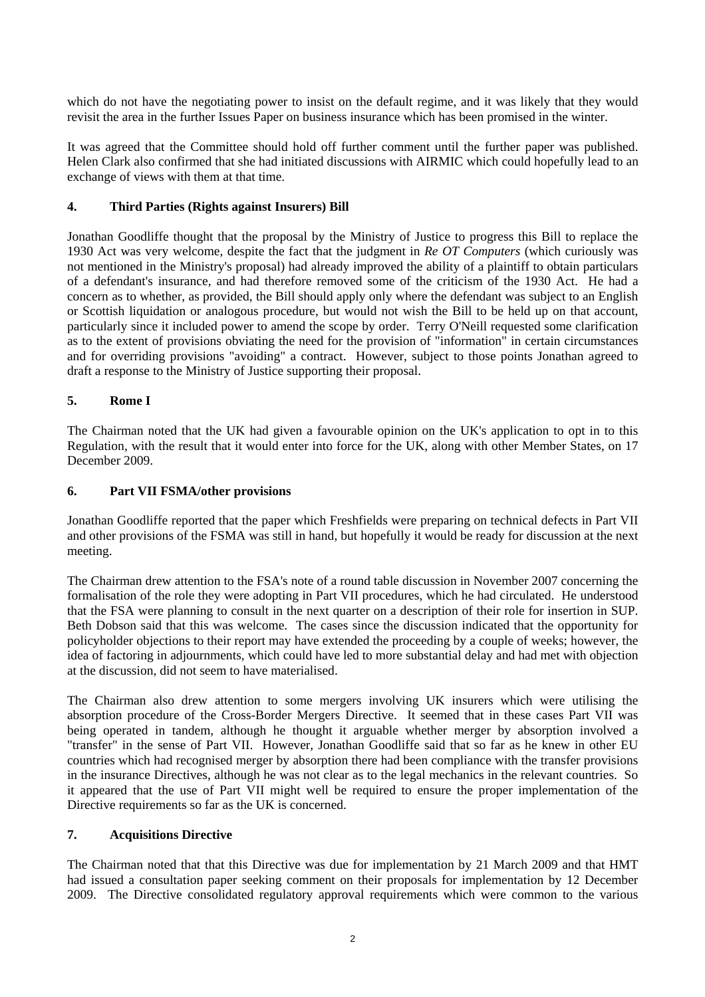which do not have the negotiating power to insist on the default regime, and it was likely that they would revisit the area in the further Issues Paper on business insurance which has been promised in the winter.

It was agreed that the Committee should hold off further comment until the further paper was published. Helen Clark also confirmed that she had initiated discussions with AIRMIC which could hopefully lead to an exchange of views with them at that time.

# **4. Third Parties (Rights against Insurers) Bill**

Jonathan Goodliffe thought that the proposal by the Ministry of Justice to progress this Bill to replace the 1930 Act was very welcome, despite the fact that the judgment in *Re OT Computers* (which curiously was not mentioned in the Ministry's proposal) had already improved the ability of a plaintiff to obtain particulars of a defendant's insurance, and had therefore removed some of the criticism of the 1930 Act. He had a concern as to whether, as provided, the Bill should apply only where the defendant was subject to an English or Scottish liquidation or analogous procedure, but would not wish the Bill to be held up on that account, particularly since it included power to amend the scope by order. Terry O'Neill requested some clarification as to the extent of provisions obviating the need for the provision of "information" in certain circumstances and for overriding provisions "avoiding" a contract. However, subject to those points Jonathan agreed to draft a response to the Ministry of Justice supporting their proposal.

#### **5. Rome I**

The Chairman noted that the UK had given a favourable opinion on the UK's application to opt in to this Regulation, with the result that it would enter into force for the UK, along with other Member States, on 17 December 2009.

#### **6. Part VII FSMA/other provisions**

Jonathan Goodliffe reported that the paper which Freshfields were preparing on technical defects in Part VII and other provisions of the FSMA was still in hand, but hopefully it would be ready for discussion at the next meeting.

The Chairman drew attention to the FSA's note of a round table discussion in November 2007 concerning the formalisation of the role they were adopting in Part VII procedures, which he had circulated. He understood that the FSA were planning to consult in the next quarter on a description of their role for insertion in SUP. Beth Dobson said that this was welcome. The cases since the discussion indicated that the opportunity for policyholder objections to their report may have extended the proceeding by a couple of weeks; however, the idea of factoring in adjournments, which could have led to more substantial delay and had met with objection at the discussion, did not seem to have materialised.

The Chairman also drew attention to some mergers involving UK insurers which were utilising the absorption procedure of the Cross-Border Mergers Directive. It seemed that in these cases Part VII was being operated in tandem, although he thought it arguable whether merger by absorption involved a "transfer" in the sense of Part VII. However, Jonathan Goodliffe said that so far as he knew in other EU countries which had recognised merger by absorption there had been compliance with the transfer provisions in the insurance Directives, although he was not clear as to the legal mechanics in the relevant countries. So it appeared that the use of Part VII might well be required to ensure the proper implementation of the Directive requirements so far as the UK is concerned.

#### **7. Acquisitions Directive**

The Chairman noted that that this Directive was due for implementation by 21 March 2009 and that HMT had issued a consultation paper seeking comment on their proposals for implementation by 12 December 2009. The Directive consolidated regulatory approval requirements which were common to the various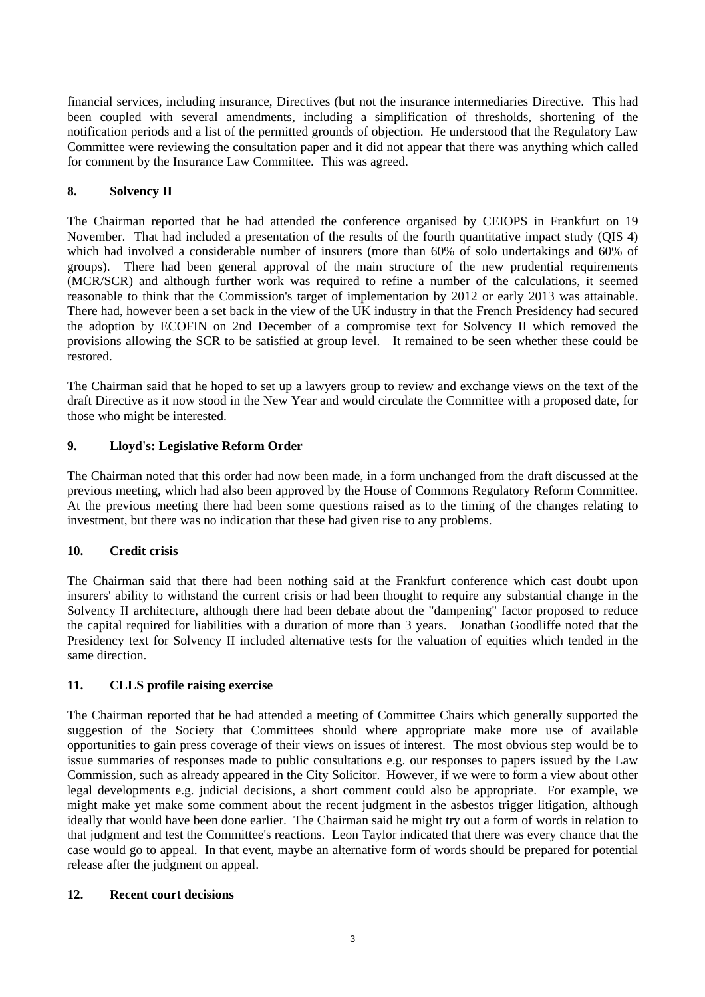financial services, including insurance, Directives (but not the insurance intermediaries Directive. This had been coupled with several amendments, including a simplification of thresholds, shortening of the notification periods and a list of the permitted grounds of objection. He understood that the Regulatory Law Committee were reviewing the consultation paper and it did not appear that there was anything which called for comment by the Insurance Law Committee. This was agreed.

# **8. Solvency II**

The Chairman reported that he had attended the conference organised by CEIOPS in Frankfurt on 19 November. That had included a presentation of the results of the fourth quantitative impact study (QIS 4) which had involved a considerable number of insurers (more than 60% of solo undertakings and 60% of groups). There had been general approval of the main structure of the new prudential requirements (MCR/SCR) and although further work was required to refine a number of the calculations, it seemed reasonable to think that the Commission's target of implementation by 2012 or early 2013 was attainable. There had, however been a set back in the view of the UK industry in that the French Presidency had secured the adoption by ECOFIN on 2nd December of a compromise text for Solvency II which removed the provisions allowing the SCR to be satisfied at group level. It remained to be seen whether these could be restored.

The Chairman said that he hoped to set up a lawyers group to review and exchange views on the text of the draft Directive as it now stood in the New Year and would circulate the Committee with a proposed date, for those who might be interested.

# **9. Lloyd's: Legislative Reform Order**

The Chairman noted that this order had now been made, in a form unchanged from the draft discussed at the previous meeting, which had also been approved by the House of Commons Regulatory Reform Committee. At the previous meeting there had been some questions raised as to the timing of the changes relating to investment, but there was no indication that these had given rise to any problems.

## **10. Credit crisis**

The Chairman said that there had been nothing said at the Frankfurt conference which cast doubt upon insurers' ability to withstand the current crisis or had been thought to require any substantial change in the Solvency II architecture, although there had been debate about the "dampening" factor proposed to reduce the capital required for liabilities with a duration of more than 3 years. Jonathan Goodliffe noted that the Presidency text for Solvency II included alternative tests for the valuation of equities which tended in the same direction.

## **11. CLLS profile raising exercise**

The Chairman reported that he had attended a meeting of Committee Chairs which generally supported the suggestion of the Society that Committees should where appropriate make more use of available opportunities to gain press coverage of their views on issues of interest. The most obvious step would be to issue summaries of responses made to public consultations e.g. our responses to papers issued by the Law Commission, such as already appeared in the City Solicitor. However, if we were to form a view about other legal developments e.g. judicial decisions, a short comment could also be appropriate. For example, we might make yet make some comment about the recent judgment in the asbestos trigger litigation, although ideally that would have been done earlier. The Chairman said he might try out a form of words in relation to that judgment and test the Committee's reactions. Leon Taylor indicated that there was every chance that the case would go to appeal. In that event, maybe an alternative form of words should be prepared for potential release after the judgment on appeal.

## **12. Recent court decisions**